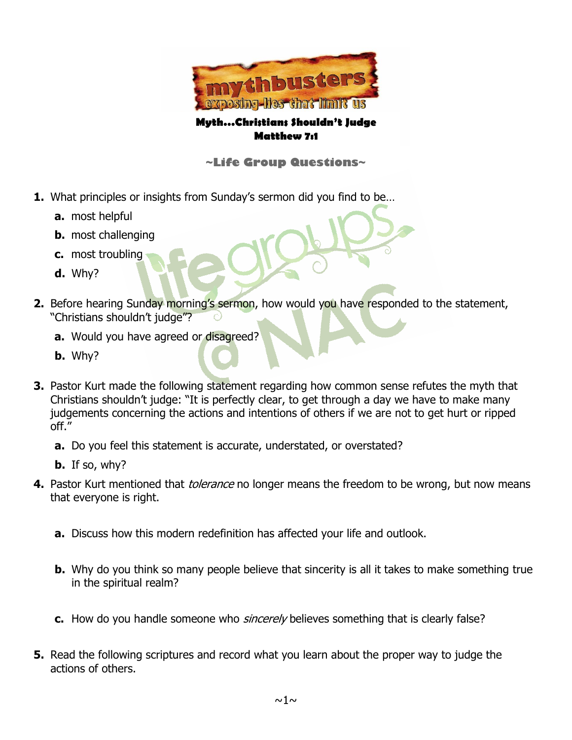

## **Myth…Christians Shouldn't Judge Matthew 7:1**

## **~Life Group Questions~**

- **1.** What principles or insights from Sunday's sermon did you find to be…
	- **a.** most helpful
	- **b.** most challenging
	- **c.** most troubling
	- **d.** Why?
- **2.** Before hearing Sunday morning's sermon, how would you have responded to the statement, "Christians shouldn't judge"?
	- **a.** Would you have agreed or disagreed?
	- **b.** Why?
- **3.** Pastor Kurt made the following statement regarding how common sense refutes the myth that Christians shouldn't judge: "It is perfectly clear, to get through a day we have to make many judgements concerning the actions and intentions of others if we are not to get hurt or ripped off."
	- **a.** Do you feel this statement is accurate, understated, or overstated?
	- **b.** If so, why?
- **4.** Pastor Kurt mentioned that *tolerance* no longer means the freedom to be wrong, but now means that everyone is right.
	- **a.** Discuss how this modern redefinition has affected your life and outlook.
	- **b.** Why do you think so many people believe that sincerity is all it takes to make something true in the spiritual realm?
	- **c.** How do you handle someone who sincerely believes something that is clearly false?
- **5.** Read the following scriptures and record what you learn about the proper way to judge the actions of others.